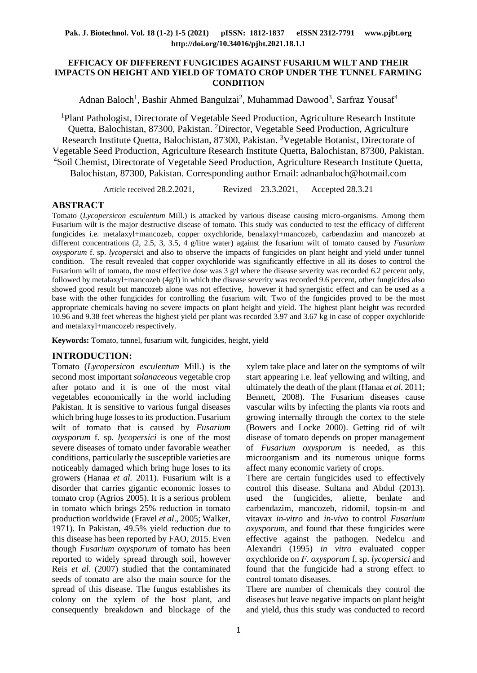#### **EFFICACY OF DIFFERENT FUNGICIDES AGAINST FUSARIUM WILT AND THEIR IMPACTS ON HEIGHT AND YIELD OF TOMATO CROP UNDER THE TUNNEL FARMING CONDITION**

Adnan Baloch<sup>1</sup>, Bashir Ahmed Bangulzai<sup>2</sup>, Muhammad Dawood<sup>3</sup>, Sarfraz Yousaf<sup>4</sup>

<sup>1</sup>Plant Pathologist, Directorate of Vegetable Seed Production, Agriculture Research Institute Quetta, Balochistan, 87300, Pakistan. <sup>2</sup>Director, Vegetable Seed Production, Agriculture Research Institute Quetta, Balochistan, 87300, Pakistan. <sup>3</sup>Vegetable Botanist, Directorate of Vegetable Seed Production, Agriculture Research Institute Quetta, Balochistan, 87300, Pakistan. <sup>4</sup>Soil Chemist, Directorate of Vegetable Seed Production, Agriculture Research Institute Quetta, Balochistan, 87300, Pakistan. Corresponding author Email: adnanbaloch@hotmail.com

Article received 28.2.2021, Revized 23.3.2021, Accepted 28.3.21

# **ABSTRACT**

Tomato (*Lycopersicon esculentum* Mill.) is attacked by various disease causing micro-organisms. Among them Fusarium wilt is the major destructive disease of tomato. This study was conducted to test the efficacy of different fungicides i.e. metalaxyl+mancozeb, copper oxychloride, benalaxyl+mancozeb, carbendazim and mancozeb at different concentrations (2, 2.5, 3, 3.5, 4 g/litre water) against the fusarium wilt of tomato caused by *Fusarium oxysporum* f. sp. *lycopersic*i and also to observe the impacts of fungicides on plant height and yield under tunnel condition. The result revealed that copper oxychloride was significantly effective in all its doses to control the Fusarium wilt of tomato, the most effective dose was 3 g/l where the disease severity was recorded 6.2 percent only, followed by metalaxyl+mancozeb (4g/l) in which the disease severity was recorded 9.6 percent, other fungicides also showed good result but mancozeb alone was not effective, however it had synergistic effect and can be used as a base with the other fungicides for controlling the fusarium wilt. Two of the fungicides proved to be the most appropriate chemicals having no severe impacts on plant height and yield. The highest plant height was recorded 10.96 and 9.38 feet whereas the highest yield per plant was recorded 3.97 and 3.67 kg in case of copper oxychloride and metalaxyl+mancozeb respectively.

**Keywords:** Tomato, tunnel, fusarium wilt, fungicides, height, yield

### **INTRODUCTION:**

Tomato (*Lycopersicon esculentum* Mill.) is the second most important *solanaceous* vegetable crop after potato and it is one of the most vital vegetables economically in the world including Pakistan. It is sensitive to various fungal diseases which bring huge losses to its production. Fusarium wilt of tomato that is caused by *Fusarium oxysporum* f. sp. *lycopersici* is one of the most severe diseases of tomato under favorable weather conditions, particularly the susceptible varieties are noticeably damaged which bring huge loses to its growers (Hanaa *et al.* 2011). Fusarium wilt is a disorder that carries gigantic economic losses to tomato crop (Agrios 2005). It is a serious problem in tomato which brings 25% reduction in tomato production worldwide (Fravel *et al*., 2005; Walker, 1971). In Pakistan, 49.5% yield reduction due to this disease has been reported by FAO, 2015. Even though *Fusarium oxysporum* of tomato has been reported to widely spread through soil, however Reis *et al.* (2007) studied that the contaminated seeds of tomato are also the main source for the spread of this disease. The fungus establishes its colony on the xylem of the host plant, and consequently breakdown and blockage of the xylem take place and later on the symptoms of wilt start appearing i.e. leaf yellowing and wilting, and ultimately the death of the plant (Hanaa *et al.* 2011; Bennett, 2008). The Fusarium diseases cause vascular wilts by infecting the plants via roots and growing internally through the cortex to the stele (Bowers and Locke 2000). Getting rid of wilt disease of tomato depends on proper management of *Fusarium oxysporum* is needed, as this microorganism and its numerous unique forms affect many economic variety of crops.

There are certain fungicides used to effectively control this disease. Sultana and Abdul (2013). used the fungicides, aliette, benlate and carbendazim, mancozeb, ridomil, topsin-m and vitavax *in-vitro* and *in-vivo* to control *Fusarium oxysporum*, and found that these fungicides were effective against the pathogen. Nedelcu and Alexandri (1995) *in vitro* evaluated copper oxychloride on *F. oxysporum* f. sp. *lycopersici* and found that the fungicide had a strong effect to control tomato diseases.

There are number of chemicals they control the diseases but leave negative impacts on plant height and yield, thus this study was conducted to record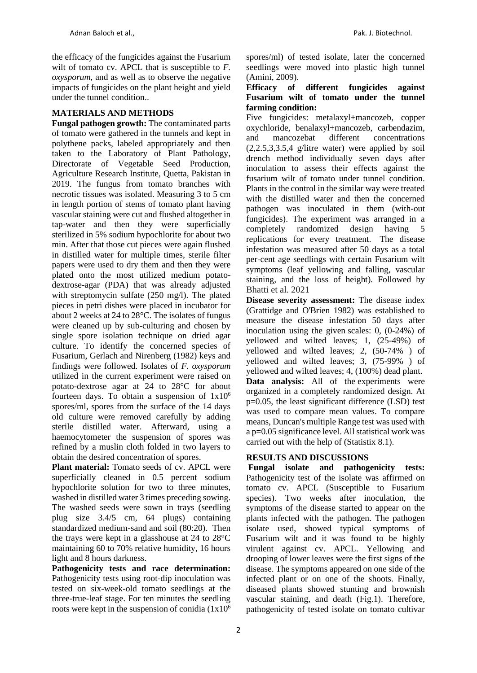the efficacy of the fungicides against the Fusarium wilt of tomato cv. APCL that is susceptible to *F. oxysporum*, and as well as to observe the negative impacts of fungicides on the plant height and yield under the tunnel condition..

## **MATERIALS AND METHODS**

**Fungal pathogen growth:** The contaminated parts of tomato were gathered in the tunnels and kept in polythene packs, labeled appropriately and then taken to the Laboratory of Plant Pathology, Directorate of Vegetable Seed Production, Agriculture Research Institute, Quetta, Pakistan in 2019. The fungus from tomato branches with necrotic tissues was isolated. Measuring 3 to 5 cm in length portion of stems of tomato plant having vascular staining were cut and flushed altogether in tap-water and then they were superficially sterilized in 5% sodium hypochlorite for about two min. After that those cut pieces were again flushed in distilled water for multiple times, sterile filter papers were used to dry them and then they were plated onto the most utilized medium potatodextrose-agar (PDA) that was already adjusted with streptomycin sulfate (250 mg/l). The plated pieces in petri dishes were placed in incubator for about 2 weeks at 24 to 28°C. The isolates of fungus were cleaned up by sub-culturing and chosen by single spore isolation technique on dried agar culture. To identify the concerned species of Fusarium, Gerlach and Nirenberg (1982) keys and findings were followed. Isolates of *F. oxysporum* utilized in the current experiment were raised on potato-dextrose agar at 24 to 28°C for about fourteen days. To obtain a suspension of  $1x10^6$ spores/ml, spores from the surface of the 14 days old culture were removed carefully by adding sterile distilled water. Afterward, using a haemocytometer the suspension of spores was refined by a muslin cloth folded in two layers to obtain the desired concentration of spores.

Plant material: Tomato seeds of cv. APCL were superficially cleaned in 0.5 percent sodium hypochlorite solution for two to three minutes, washed in distilled water 3 times preceding sowing. The washed seeds were sown in trays (seedling plug size 3.4/5 cm, 64 plugs) containing standardized medium-sand and soil (80:20). Then the trays were kept in a glasshouse at 24 to 28°C maintaining 60 to 70% relative humidity, 16 hours light and 8 hours darkness.

**Pathogenicity tests and race determination:**  Pathogenicity tests using root-dip inoculation was tested on six-week-old tomato seedlings at the three-true-leaf stage. For ten minutes the seedling roots were kept in the suspension of conidia  $(1x10^6)$  spores/ml) of tested isolate, later the concerned seedlings were moved into plastic high tunnel (Amini, 2009).

#### **Efficacy of different fungicides against Fusarium wilt of tomato under the tunnel farming condition:**

Five fungicides: metalaxyl+mancozeb, copper oxychloride, benalaxyl+mancozeb, carbendazim, and mancozebat different concentrations (2,2.5,3,3.5,4 g/litre water) were applied by soil drench method individually seven days after inoculation to assess their effects against the fusarium wilt of tomato under tunnel condition. Plants in the control in the similar way were treated with the distilled water and then the concerned pathogen was inoculated in them (with-out fungicides). The experiment was arranged in a completely randomized design having 5 replications for every treatment. The disease infestation was measured after 50 days as a total per-cent age seedlings with certain Fusarium wilt symptoms (leaf yellowing and falling, vascular staining, and the loss of height). Followed by Bhatti et al. 2021

**Disease severity assessment:** The disease index (Grattidge and O'Brien 1982) was established to measure the disease infestation 50 days after inoculation using the given scales: 0, (0-24%) of yellowed and wilted leaves; 1, (25-49%) of yellowed and wilted leaves; 2, (50-74% ) of yellowed and wilted leaves; 3, (75-99% ) of yellowed and wilted leaves; 4, (100%) dead plant. **Data analysis:** All of the experiments were organized in a completely randomized design. At p=0.05, the least significant difference (LSD) test was used to compare mean values. To compare means, Duncan's multiple Range test was used with a p=0.05 significance level. All statistical work was carried out with the help of (Statistix 8.1).

# **RESULTS AND DISCUSSIONS**

**Fungal isolate and pathogenicity tests:**  Pathogenicity test of the isolate was affirmed on tomato cv. APCL (Susceptible to Fusarium species). Two weeks after inoculation, the symptoms of the disease started to appear on the plants infected with the pathogen. The pathogen isolate used, showed typical symptoms of Fusarium wilt and it was found to be highly virulent against cv. APCL. Yellowing and drooping of lower leaves were the first signs of the disease. The symptoms appeared on one side of the infected plant or on one of the shoots. Finally, diseased plants showed stunting and brownish vascular staining, and death (Fig.1). Therefore, pathogenicity of tested isolate on tomato cultivar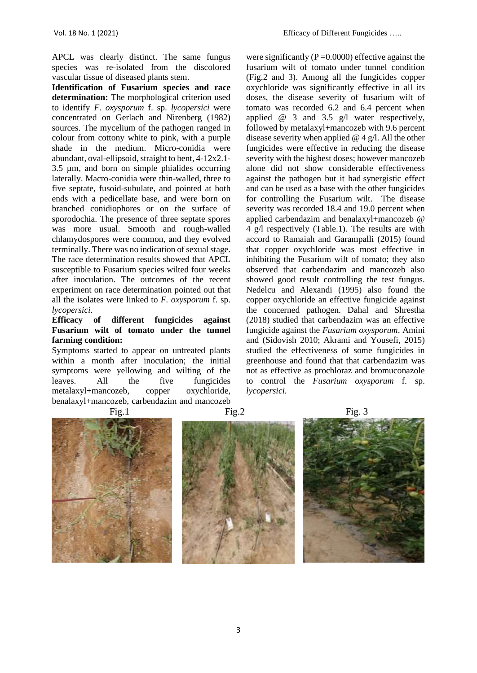APCL was clearly distinct. The same fungus species was re-isolated from the discolored vascular tissue of diseased plants stem.

**Identification of Fusarium species and race determination:** The morphological criterion used to identify *F. oxysporum* f. sp. *lycopersici* were concentrated on Gerlach and Nirenberg (1982) sources. The mycelium of the pathogen ranged in colour from cottony white to pink, with a purple shade in the medium. Micro-conidia were abundant, oval-ellipsoid, straight to bent, 4-12x2.1- 3.5 µm, and born on simple phialides occurring laterally. Macro-conidia were thin-walled, three to five septate, fusoid-subulate, and pointed at both ends with a pedicellate base, and were born on branched conidiophores or on the surface of sporodochia. The presence of three septate spores was more usual. Smooth and rough-walled chlamydospores were common, and they evolved terminally. There was no indication of sexual stage. The race determination results showed that APCL susceptible to Fusarium species wilted four weeks after inoculation. The outcomes of the recent experiment on race determination pointed out that all the isolates were linked to *F. oxysporum* f. sp. *lycopersici*.

## **Efficacy of different fungicides against Fusarium wilt of tomato under the tunnel farming condition:**

Symptoms started to appear on untreated plants within a month after inoculation; the initial symptoms were yellowing and wilting of the leaves. All the five fungicides metalaxyl+mancozeb, copper oxychloride, benalaxyl+mancozeb, carbendazim and mancozeb

were significantly ( $P = 0.0000$ ) effective against the fusarium wilt of tomato under tunnel condition (Fig.2 and 3). Among all the fungicides copper oxychloride was significantly effective in all its doses, the disease severity of fusarium wilt of tomato was recorded 6.2 and 6.4 percent when applied @ 3 and 3.5 g/l water respectively, followed by metalaxyl+mancozeb with 9.6 percent disease severity when applied  $@$  4 g/l. All the other fungicides were effective in reducing the disease severity with the highest doses; however mancozeb alone did not show considerable effectiveness against the pathogen but it had synergistic effect and can be used as a base with the other fungicides for controlling the Fusarium wilt. The disease severity was recorded 18.4 and 19.0 percent when applied carbendazim and benalaxyl+mancozeb @ 4 g/l respectively (Table.1). The results are with accord to Ramaiah and Garampalli (2015) found that copper oxychloride was most effective in inhibiting the Fusarium wilt of tomato; they also observed that carbendazim and mancozeb also showed good result controlling the test fungus. Nedelcu and Alexandi (1995) also found the copper oxychloride an effective fungicide against the concerned pathogen. Dahal and Shrestha (2018) studied that carbendazim was an effective fungicide against the *Fusarium oxysporum*. Amini and (Sidovish 2010; Akrami and Yousefi, 2015) studied the effectiveness of some fungicides in greenhouse and found that that carbendazim was not as effective as prochloraz and bromuconazole to control the *Fusarium oxysporum* f. sp. *lycopersici.*





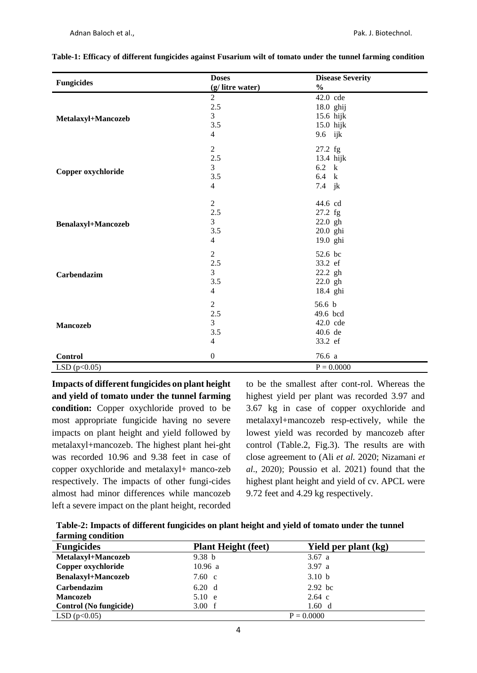|                           | <b>Doses</b>     | <b>Disease Severity</b> |  |
|---------------------------|------------------|-------------------------|--|
| <b>Fungicides</b>         | (g/litre water)  | $\frac{0}{0}$           |  |
|                           | $\overline{2}$   | 42.0 cde                |  |
|                           | $2.5\,$          | 18.0 ghij               |  |
| Metalaxyl+Mancozeb        | $\overline{3}$   | 15.6 hijk               |  |
|                           | 3.5              | 15.0 hijk               |  |
|                           | $\overline{4}$   | 9.6 ijk                 |  |
|                           | $\overline{2}$   | 27.2 fg                 |  |
|                           | 2.5              | 13.4 hijk               |  |
|                           | 3                | $6.2 \text{ k}$         |  |
| Copper oxychloride        | 3.5              | 6.4 k                   |  |
|                           | $\overline{4}$   | 7.4 jk                  |  |
|                           | $\overline{2}$   | 44.6 cd                 |  |
|                           | $2.5\,$          | $27.2$ fg               |  |
| <b>Benalaxyl+Mancozeb</b> | $\overline{3}$   | 22.0 gh                 |  |
|                           | 3.5              | 20.0 ghi                |  |
|                           | $\overline{4}$   | 19.0 ghi                |  |
|                           | $\overline{2}$   | 52.6 bc                 |  |
|                           | $2.5\,$          | 33.2 ef                 |  |
| Carbendazim               | 3                | 22.2 gh                 |  |
|                           | 3.5              | 22.0 gh                 |  |
|                           | $\overline{4}$   | 18.4 ghi                |  |
|                           | $\overline{2}$   | 56.6 <sub>b</sub>       |  |
|                           | $2.5\,$          | 49.6 bcd                |  |
| Mancozeb                  | $\overline{3}$   | 42.0 cde                |  |
|                           | 3.5              | 40.6 de                 |  |
|                           | $\overline{4}$   | 33.2 ef                 |  |
| Control                   | $\boldsymbol{0}$ | 76.6 a                  |  |
| LSD $(p<0.05)$            |                  | $P = 0.0000$            |  |

|  |  |  | Table-1: Efficacy of different fungicides against Fusarium wilt of tomato under the tunnel farming condition |
|--|--|--|--------------------------------------------------------------------------------------------------------------|
|  |  |  |                                                                                                              |

**Impacts of different fungicides on plant height and yield of tomato under the tunnel farming condition:** Copper oxychloride proved to be most appropriate fungicide having no severe impacts on plant height and yield followed by metalaxyl+mancozeb. The highest plant hei-ght was recorded 10.96 and 9.38 feet in case of copper oxychloride and metalaxyl+ manco-zeb respectively. The impacts of other fungi-cides almost had minor differences while mancozeb left a severe impact on the plant height, recorded

to be the smallest after cont-rol. Whereas the highest yield per plant was recorded 3.97 and 3.67 kg in case of copper oxychloride and metalaxyl+mancozeb resp-ectively, while the lowest yield was recorded by mancozeb after control (Table.2, Fig.3). The results are with close agreement to (Ali *et al.* 2020; Nizamani *et al*., 2020); Poussio et al. 2021) found that the highest plant height and yield of cv. APCL were 9.72 feet and 4.29 kg respectively.

| Table-2: Impacts of different fungicides on plant height and yield of tomato under the tunnel |  |  |  |  |  |
|-----------------------------------------------------------------------------------------------|--|--|--|--|--|
| farming condition                                                                             |  |  |  |  |  |

| <b>Fungicides</b>         | <b>Plant Height (feet)</b> | Yield per plant (kg) |  |  |
|---------------------------|----------------------------|----------------------|--|--|
| Metalaxyl+Mancozeb        | 9.38 <sub>b</sub>          | 3.67 a               |  |  |
| Copper oxychloride        | 10.96 a                    | 3.97 a               |  |  |
| <b>Benalaxyl+Mancozeb</b> | 7.60 c                     | 3.10 <sub>b</sub>    |  |  |
| Carbendazim               | 6.20 d                     | $2.92$ bc            |  |  |
| <b>Mancozeb</b>           | 5.10 e                     | $2.64$ c             |  |  |
| Control (No fungicide)    | 3.00 f                     | 1.60 d               |  |  |
| LSD(p<0.05)               | $P = 0.0000$               |                      |  |  |